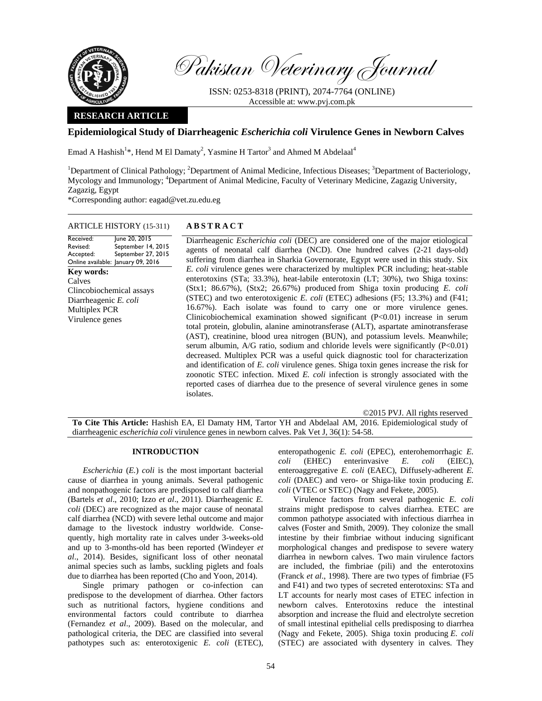

Pakistan Veterinary Journal

ISSN: 0253-8318 (PRINT), 2074-7764 (ONLINE) Accessible at: www.pvj.com.pk

# **RESEARCH ARTICLE**

# **Epidemiological Study of Diarrheagenic** *Escherichia coli* **Virulence Genes in Newborn Calves**

Emad A Hashish<sup>1</sup>\*, Hend M El Damaty<sup>2</sup>, Yasmine H Tartor<sup>3</sup> and Ahmed M Abdelaal<sup>4</sup>

<sup>1</sup>Department of Clinical Pathology; <sup>2</sup>Department of Animal Medicine, Infectious Diseases; <sup>3</sup>Department of Bacteriology, Mycology and Immunology; <sup>4</sup>Department of Animal Medicine, Faculty of Veterinary Medicine, Zagazig University, Zagazig, Egypt

\*Corresponding author: eagad@vet.zu.edu.eg

## ARTICLE HISTORY (15-311) **ABSTRACT**

Revised: Accepted: Online available: January 09, 2016 June 20, 2015 September 14, 2015 September 27, 2015 **Key words:**  Calves Clincobiochemical assays Diarrheagenic *E. coli*  Multiplex PCR Virulence genes

Received:

 Diarrheagenic *Escherichia coli* (DEC) are considered one of the major etiological agents of neonatal calf diarrhea (NCD). One hundred calves (2-21 days-old) suffering from diarrhea in Sharkia Governorate, Egypt were used in this study. Six *E. coli* virulence genes were characterized by multiplex PCR including; heat-stable enterotoxins (STa; 33.3%), heat-labile enterotoxin (LT; 30%), two Shiga toxins: (Stx1; 86.67%), (Stx2; 26.67%) produced from Shiga toxin producing *E. coli* (STEC) and two enterotoxigenic *E. coli* (ETEC) adhesions (F5; 13.3%) and (F41; 16.67%). Each isolate was found to carry one or more virulence genes. Clinicobiochemical examination showed significant (P<0.01) increase in serum total protein, globulin, alanine aminotransferase (ALT), aspartate aminotransferase (AST), creatinine, blood urea nitrogen (BUN), and potassium levels. Meanwhile; serum albumin,  $A/G$  ratio, sodium and chloride levels were significantly  $(P<0.01)$ decreased. Multiplex PCR was a useful quick diagnostic tool for characterization and identification of *E. coli* virulence genes. Shiga toxin genes increase the risk for zoonotic STEC infection. Mixed *E. coli* infection is strongly associated with the reported cases of diarrhea due to the presence of several virulence genes in some isolates.

©2015 PVJ. All rights reserved **To Cite This Article:** Hashish EA, El Damaty HM, Tartor YH and Abdelaal AM, 2016. Epidemiological study of diarrheagenic *escherichia coli* virulence genes in newborn calves. Pak Vet J, 36(1): 54-58.

### **INTRODUCTION**

*Escherichia* (*E.*) *coli* is the most important bacterial cause of diarrhea in young animals. Several pathogenic and nonpathogenic factors are predisposed to calf diarrhea (Bartels *et al*., 2010; Izzo *et al*., 2011). Diarrheagenic *E. coli* (DEC) are recognized as the major cause of neonatal calf diarrhea (NCD) with severe lethal outcome and major damage to the livestock industry worldwide. Consequently, high mortality rate in calves under 3-weeks-old and up to 3-months-old has been reported (Windeyer *et al*., 2014). Besides, significant loss of other neonatal animal species such as lambs, suckling piglets and foals due to diarrhea has been reported (Cho and Yoon, 2014).

Single primary pathogen or co-infection can predispose to the development of diarrhea. Other factors such as nutritional factors, hygiene conditions and environmental factors could contribute to diarrhea (Fernandez *et al*., 2009). Based on the molecular, and pathological criteria, the DEC are classified into several pathotypes such as: enterotoxigenic *E. coli* (ETEC), enteropathogenic *E. coli* (EPEC), enterohemorrhagic *E. coli* (EHEC) enterinvasive *E. coli* (EIEC), enteroaggregative *E. coli* (EAEC), Diffusely-adherent *E. coli* (DAEC) and vero- or Shiga-like toxin producing *E. coli* (VTEC or STEC) (Nagy and Fekete, 2005).

Virulence factors from several pathogenic *E. coli* strains might predispose to calves diarrhea. ETEC are common pathotype associated with infectious diarrhea in calves (Foster and Smith, 2009). They colonize the small intestine by their fimbriae without inducing significant morphological changes and predispose to severe watery diarrhea in newborn calves. Two main virulence factors are included, the fimbriae (pili) and the enterotoxins (Franck *et al*., 1998). There are two types of fimbriae (F5 and F41) and two types of secreted enterotoxins: STa and LT accounts for nearly most cases of ETEC infection in newborn calves. Enterotoxins reduce the intestinal absorption and increase the fluid and electrolyte secretion of small intestinal epithelial cells predisposing to diarrhea (Nagy and Fekete, 2005). Shiga toxin producing *E. coli* (STEC) are associated with dysentery in calves. They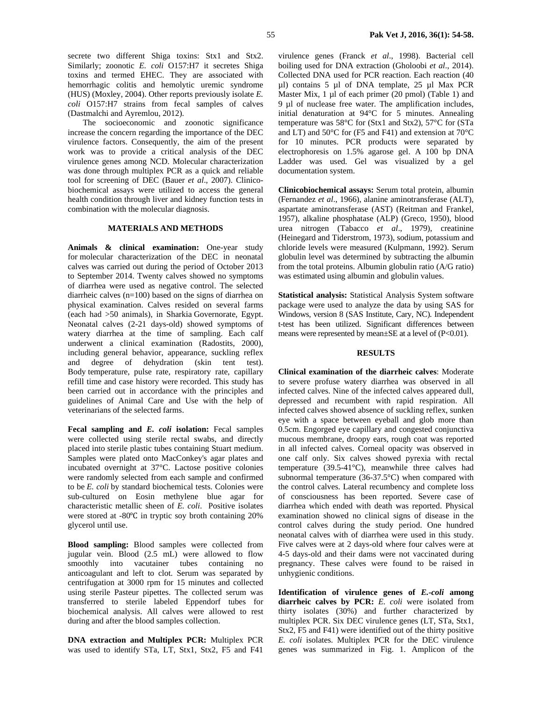secrete two different Shiga toxins: Stx1 and Stx2. Similarly; zoonotic *E. coli* O157:H7 it secretes Shiga toxins and termed EHEC. They are associated with hemorrhagic colitis and hemolytic uremic syndrome (HUS) (Moxley, 2004). Other reports previously isolate *E. coli* O157:H7 strains from fecal samples of calves (Dastmalchi and Ayremlou, 2012).

The socioeconomic and zoonotic significance increase the concern regarding the importance of the DEC virulence factors. Consequently, the aim of the present work was to provide a critical analysis of the DEC virulence genes among NCD. Molecular characterization was done through multiplex PCR as a quick and reliable tool for screening of DEC (Bauer *et al*., 2007). Clinicobiochemical assays were utilized to access the general health condition through liver and kidney function tests in combination with the molecular diagnosis.

### **MATERIALS AND METHODS**

**Animals & clinical examination:** One-year study for molecular characterization of the DEC in neonatal calves was carried out during the period of October 2013 to September 2014. Twenty calves showed no symptoms of diarrhea were used as negative control. The selected diarrheic calves (n=100) based on the signs of diarrhea on physical examination. Calves resided on several farms (each had >50 animals), in Sharkia Governorate, Egypt. Neonatal calves (2-21 days-old) showed symptoms of watery diarrhea at the time of sampling. Each calf underwent a clinical examination (Radostits, 2000), including general behavior, appearance, suckling reflex and degree of dehydration (skin tent test). Body temperature, pulse rate, respiratory rate, capillary refill time and case history were recorded. This study has been carried out in accordance with the principles and guidelines of Animal Care and Use with the help of veterinarians of the selected farms.

**Fecal sampling and** *E. coli* **isolation:** Fecal samples were collected using sterile rectal swabs, and directly placed into sterile plastic tubes containing Stuart medium. Samples were plated onto MacConkey's agar plates and incubated overnight at 37°C. Lactose positive colonies were randomly selected from each sample and confirmed to be *E. coli* by standard biochemical tests. Colonies were sub-cultured on Eosin methylene blue agar for characteristic metallic sheen of *E. coli*. Positive isolates were stored at -80°C in tryptic soy broth containing 20% glycerol until use.

**Blood sampling:** Blood samples were collected from jugular vein. Blood (2.5 mL) were allowed to flow smoothly into vacutainer tubes containing no anticoagulant and left to clot. Serum was separated by centrifugation at 3000 rpm for 15 minutes and collected using sterile Pasteur pipettes. The collected serum was transferred to sterile labeled Eppendorf tubes for biochemical analysis. All calves were allowed to rest during and after the blood samples collection.

**DNA extraction and Multiplex PCR:** Multiplex PCR was used to identify STa, LT, Stx1, Stx2, F5 and F41 virulence genes (Franck *et al*., 1998). Bacterial cell boiling used for DNA extraction (Gholoobi *et al*., 2014). Collected DNA used for PCR reaction. Each reaction (40 µl) contains 5 µl of DNA template, 25 µl Max PCR Master Mix,  $1 \mu l$  of each primer (20 pmol) (Table 1) and 9 µl of nuclease free water. The amplification includes, initial denaturation at 94°C for 5 minutes. Annealing temperature was 58°C for (Stx1 and Stx2), 57°C for (STa and LT) and 50°C for (F5 and F41) and extension at 70°C for 10 minutes. PCR products were separated by electrophoresis on 1.5% agarose gel. A 100 bp DNA Ladder was used. Gel was visualized by a gel documentation system.

**Clinicobiochemical assays:** Serum total protein, albumin (Fernandez *et al*., 1966), alanine aminotransferase (ALT), aspartate aminotransferase (AST) (Reitman and Frankel, 1957), alkaline phosphatase (ALP) (Greco, 1950), blood urea nitrogen (Tabacco *et al*., 1979), creatinine (Heinegard and Tiderstrom, 1973), sodium, potassium and chloride levels were measured (Kulpmann, 1992). Serum globulin level was determined by subtracting the albumin from the total proteins. Albumin globulin ratio (A/G ratio) was estimated using albumin and globulin values.

**Statistical analysis:** Statistical Analysis System software package were used to analyze the data by using SAS for Windows, version 8 (SAS Institute, Cary, NC). Independent t-test has been utilized. Significant differences between means were represented by mean $\pm$ SE at a level of (P<0.01).

### **RESULTS**

**Clinical examination of the diarrheic calves**: Moderate to severe profuse watery diarrhea was observed in all infected calves. Nine of the infected calves appeared dull, depressed and recumbent with rapid respiration. All infected calves showed absence of suckling reflex, sunken eye with a space between eyeball and glob more than 0.5cm. Engorged eye capillary and congested conjunctiva mucous membrane, droopy ears, rough coat was reported in all infected calves. Corneal opacity was observed in one calf only. Six calves showed pyrexia with rectal temperature (39.5-41°C), meanwhile three calves had subnormal temperature (36-37.5°C) when compared with the control calves. Lateral recumbency and complete loss of consciousness has been reported. Severe case of diarrhea which ended with death was reported. Physical examination showed no clinical signs of disease in the control calves during the study period. One hundred neonatal calves with of diarrhea were used in this study. Five calves were at 2 days-old where four calves were at 4-5 days-old and their dams were not vaccinated during pregnancy. These calves were found to be raised in unhygienic conditions.

**Identification of virulence genes of** *E.-coli* **among diarrheic calves by PCR:** *E. coli* were isolated from thirty isolates (30%) and further characterized by multiplex PCR. Six DEC virulence genes (LT, STa, Stx1, Stx2, F5 and F41) were identified out of the thirty positive *E. coli* isolates. Multiplex PCR for the DEC virulence genes was summarized in Fig. 1. Amplicon of the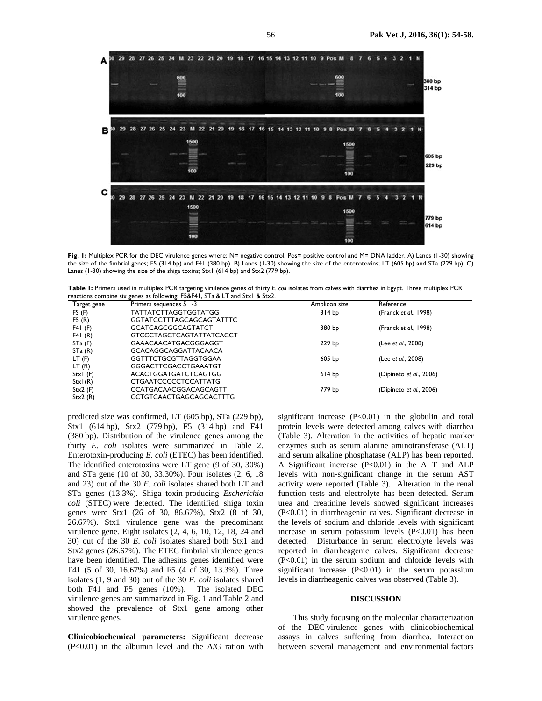

Fig. 1: Multiplex PCR for the DEC virulence genes where; N= negative control, Pos= positive control and M= DNA ladder. A) Lanes (1-30) showing the size of the fimbrial genes; F5 (314 bp) and F41 (380 bp). B) Lanes (1-30) showing the size of the enterotoxins; LT (605 bp) and STa (229 bp). C) Lanes (1-30) showing the size of the shiga toxins; Stx1 (614 bp) and Stx2 (779 bp).

**Table 1:** Primers used in multiplex PCR targeting virulence genes of thirty *E. coli* isolates from calves with diarrhea in Egypt. Three multiplex PCR reactions combine six genes as following; F5&F41, STa & LT and Stx1 & Stx2.

| Target gene | Primers sequences 5 -3          | Amplicon size     | Reference               |
|-------------|---------------------------------|-------------------|-------------------------|
| FS(F)       | <b>TATTATCTTAGGTGGTATGG</b>     | 314 <sub>bp</sub> | (Franck et al., 1998)   |
| F5(R)       | <b>GGTATCCTTTAGCAGCAGTATTTC</b> |                   |                         |
| F4I(F)      | <b>GCATCAGCGGCAGTATCT</b>       | 380 bp            | (Franck et al., 1998)   |
| F4I(R)      | <b>GTCCCTAGCTCAGTATTATCACCT</b> |                   |                         |
| STa(F)      | GAAACAACATGACGGGAGGT            | 229 bp            | (Lee et al., 2008)      |
| STa(R)      | GCACAGGCAGGATTACAACA            |                   |                         |
| $LT$ (F)    | <b>GGTTTCTGCGTTAGGTGGAA</b>     | 605 bp            | (Lee et al., 2008)      |
| LT(R)       | <b>GGGACTTCGACCTGAAATGT</b>     |                   |                         |
| StxI(F)     | <b>ACACTGGATGATCTCAGTGG</b>     | 614bp             | (Dipineto et al., 2006) |
| StxI(R)     | CTGAATCCCCCTCCATTATG            |                   |                         |
| Stx2(F)     | CCATGACAACGGACAGCAGTT           | 779 bp            | (Dipineto et al., 2006) |
| Stx2(R)     | <b>CCTGTCAACTGAGCAGCACTTTG</b>  |                   |                         |

predicted size was confirmed, LT (605 bp), STa (229 bp), Stx1 (614 bp), Stx2 (779 bp), F5 (314 bp) and F41 (380 bp). Distribution of the virulence genes among the thirty *E. coli* isolates were summarized in Table 2. Enterotoxin-producing *E. coli* (ETEC) has been identified. The identified enterotoxins were LT gene (9 of 30, 30%) and STa gene (10 of 30, 33.30%). Four isolates (2, 6, 18 and 23) out of the 30 *E. coli* isolates shared both LT and STa genes (13.3%). Shiga toxin-producing *Escherichia coli* (STEC) were detected. The identified shiga toxin genes were Stx1 (26 of 30, 86.67%), Stx2 (8 of 30, 26.67%). Stx1 virulence gene was the predominant virulence gene. Eight isolates (2, 4, 6, 10, 12, 18, 24 and 30) out of the 30 *E. coli* isolates shared both Stx1 and Stx2 genes (26.67%). The ETEC fimbrial virulence genes have been identified. The adhesins genes identified were F41 (5 of 30, 16.67%) and F5 (4 of 30, 13.3%). Three isolates (1, 9 and 30) out of the 30 *E. coli* isolates shared both F41 and F5 genes (10%). The isolated DEC virulence genes are summarized in Fig. 1 and Table 2 and showed the prevalence of Stx1 gene among other virulence genes.

**Clinicobiochemical parameters:** Significant decrease  $(P<0.01)$  in the albumin level and the A/G ration with

significant increase  $(P<0.01)$  in the globulin and total protein levels were detected among calves with diarrhea (Table 3). Alteration in the activities of hepatic marker enzymes such as serum alanine aminotransferase (ALT) and serum alkaline phosphatase (ALP) has been reported. A Significant increase (P<0.01) in the ALT and ALP levels with non-significant change in the serum AST activity were reported (Table 3). Alteration in the renal function tests and electrolyte has been detected. Serum urea and creatinine levels showed significant increases (P<0.01) in diarrheagenic calves. Significant decrease in the levels of sodium and chloride levels with significant increase in serum potassium levels (P<0.01) has been detected. Disturbance in serum electrolyte levels was reported in diarrheagenic calves. Significant decrease (P<0.01) in the serum sodium and chloride levels with significant increase  $(P<0.01)$  in the serum potassium levels in diarrheagenic calves was observed (Table 3).

#### **DISCUSSION**

This study focusing on the molecular characterization of the DEC virulence genes with clinicobiochemical assays in calves suffering from diarrhea. Interaction between several management and environmental factors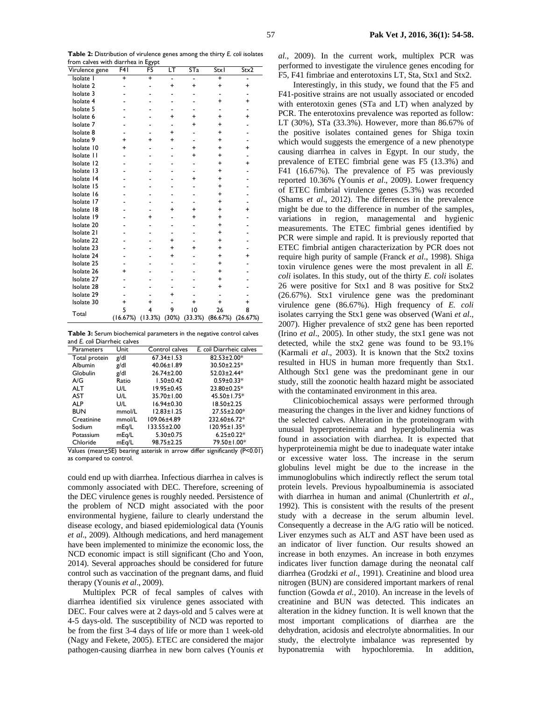**Table 2:** Distribution of virulence genes among the thirty *E. coli* isolates from calves with diarrhea in Egypt

| Virulence gene       | F41       | F5        | LT        | STa       | Stxl      | Stx2      |
|----------------------|-----------|-----------|-----------|-----------|-----------|-----------|
| Isolate I            | $\ddot{}$ | $\ddot{}$ | -         |           | $\ddot{}$ |           |
| Isolate <sub>2</sub> |           |           | $\ddot{}$ | +         | +         | $\ddot{}$ |
| Isolate 3            |           |           |           |           |           |           |
| Isolate 4            |           |           |           |           | $\ddot{}$ | $\ddot{}$ |
| Isolate 5            |           |           |           |           |           |           |
| Isolate 6            |           |           | +         | +         | +         | +         |
| Isolate 7            |           |           |           | $\ddot{}$ | +         |           |
| Isolate 8            |           |           | $\ddot{}$ |           | $\ddot{}$ |           |
| Isolate 9            | $\ddot{}$ | ÷         | $\ddot{}$ |           | +         |           |
| Isolate 10           | +         |           |           | +         | +         | +         |
| Isolate II           |           |           |           | +         | +         |           |
| Isolate 12           |           |           |           |           | +         | $\ddot{}$ |
| Isolate 13           |           |           |           |           | $\ddot{}$ |           |
| Isolate 14           |           |           |           | +         | +         |           |
| Isolate 15           |           |           |           |           | +         |           |
| Isolate 16           |           |           |           |           | $\ddot{}$ |           |
| Isolate 17           |           |           |           |           | $\ddot{}$ |           |
| Isolate 18           |           |           |           | +         | $\ddot{}$ |           |
| Isolate 19           |           | +         |           | +         | +         |           |
| Isolate 20           |           |           |           |           | +         |           |
| Isolate 21           |           |           |           |           | +         |           |
| Isolate 22           |           |           | $\ddot{}$ |           | +         |           |
| Isolate 23           |           |           | $\ddot{}$ | +         | $\ddot{}$ |           |
| Isolate 24           |           |           | +         |           | +         | +         |
| Isolate 25           |           |           |           |           | +         |           |
| Isolate 26           |           |           |           |           | $\ddot{}$ |           |
| Isolate 27           |           |           |           |           | +         |           |
| Isolate 28           |           |           |           |           | $\ddot{}$ |           |
| Isolate 29           |           |           | +         |           |           |           |
| Isolate 30           | $\ddot{}$ | Ŧ.        |           | $\ddot{}$ | $\ddot{}$ | $\ddot{}$ |
| Total                | 5         | 4         | 9         | 10        | 26        | 8         |
|                      | (16.67%)  | (13.3%)   | (30%)     | (33.3%)   | (86.67%)  | (26.67%)  |

**Table 3:** Serum biochemical parameters in the negative control calves and *E. coli* Diarrheic calves

| Parameters     | Unit   | Control calves    | E. coli Diarrheic calves |
|----------------|--------|-------------------|--------------------------|
| Total protein  | g/dl   | $67.34 \pm 1.53$  | 82.53±2.00*              |
| <b>Albumin</b> | g/dl   | 40.06±1.89        | 30.50±2.25*              |
| Globulin       | g/dl   | $26.74 \pm 2.00$  | $52.03 \pm 2.44*$        |
| A/G            | Ratio  | $1.50 \pm 0.42$   | $0.59 \pm 0.33*$         |
| <b>ALT</b>     | U/L    | $19.95 \pm 0.45$  | 23.80±0.25*              |
| <b>AST</b>     | U/L    | 35.70±1.00        | 45.50±1.75*              |
| ALP            | U/L    | $16.94 \pm 0.30$  | $18.50 \pm 2.25$         |
| <b>BUN</b>     | mmol/L | $12.83 \pm 1.25$  | 27.55±2.00*              |
| Creatinine     | mmol/L | 109.06±4.89       | 232.60±6.72*             |
| Sodium         | mEg/L  | $133.55 \pm 2.00$ | $120.95 \pm 1.35*$       |
| Potassium      | mEq/L  | $5.30 \pm 0.75$   | $6.25 \pm 0.22$ *        |
| Chloride       | mEg/L  | $98.75 \pm 2.25$  | 79.50±1.00*              |

Values (mean+SE) bearing asterisk in arrow differ significantly (P<0.01) as compared to control.

could end up with diarrhea. Infectious diarrhea in calves is commonly associated with DEC. Therefore, screening of the DEC virulence genes is roughly needed. Persistence of the problem of NCD might associated with the poor environmental hygiene, failure to clearly understand the disease ecology, and biased epidemiological data (Younis *et al*., 2009). Although medications, and herd management have been implemented to minimize the economic loss, the NCD economic impact is still significant (Cho and Yoon, 2014). Several approaches should be considered for future control such as vaccination of the pregnant dams, and fluid therapy (Younis *et al*., 2009).

Multiplex PCR of fecal samples of calves with diarrhea identified six virulence genes associated with DEC. Four calves were at 2 days-old and 5 calves were at 4-5 days-old. The susceptibility of NCD was reported to be from the first 3-4 days of life or more than 1 week-old (Nagy and Fekete, 2005). ETEC are considered the major pathogen-causing diarrhea in new born calves (Younis *et* 

*al.*, 2009). In the current work, multiplex PCR was performed to investigate the virulence genes encoding for F5, F41 fimbriae and enterotoxins LT, Sta, Stx1 and Stx2.

Interestingly, in this study, we found that the F5 and F41-positive strains are not usually associated or encoded with enterotoxin genes (STa and LT) when analyzed by PCR. The enterotoxins prevalence was reported as follow: LT (30%), STa (33.3%). However, more than 86.67% of the positive isolates contained genes for Shiga toxin which would suggests the emergence of a new phenotype causing diarrhea in calves in Egypt. In our study, the prevalence of ETEC fimbrial gene was F5 (13.3%) and F41 (16.67%). The prevalence of F5 was previously reported 10.36% (Younis *et al*., 2009). Lower frequency of ETEC fimbrial virulence genes (5.3%) was recorded (Shams *et al*., 2012). The differences in the prevalence might be due to the difference in number of the samples, variations in region, managemental and hygienic measurements. The ETEC fimbrial genes identified by PCR were simple and rapid. It is previously reported that ETEC fimbrial antigen characterization by PCR does not require high purity of sample (Franck *et al*., 1998). Shiga toxin virulence genes were the most prevalent in all *E. coli* isolates. In this study, out of the thirty *E. coli* isolates 26 were positive for Stx1 and 8 was positive for Stx2 (26.67%). Stx1 virulence gene was the predominant virulence gene (86.67%). High frequency of *E. coli* isolates carrying the Stx1 gene was observed (Wani *et al*., 2007). Higher prevalence of stx2 gene has been reported (Irino *et al*., 2005). In other study, the stx1 gene was not detected, while the stx2 gene was found to be 93.1% (Karmali *et al*., 2003). It is known that the Stx2 toxins resulted in HUS in human more frequently than Stx1. Although Stx1 gene was the predominant gene in our study, still the zoonotic health hazard might be associated with the contaminated environment in this area.

Clinicobiochemical assays were performed through measuring the changes in the liver and kidney functions of the selected calves. Alteration in the proteinogram with unusual hyperproteinemia and hyperglobulinemia was found in association with diarrhea. It is expected that hyperproteinemia might be due to inadequate water intake or excessive water loss. The increase in the serum globulins level might be due to the increase in the immunoglobulins which indirectly reflect the serum total protein levels. Previous hypoalbuminemia is associated with diarrhea in human and animal (Chunlertrith *et al*., 1992). This is consistent with the results of the present study with a decrease in the serum albumin level. Consequently a decrease in the A/G ratio will be noticed. Liver enzymes such as ALT and AST have been used as an indicator of liver function. Our results showed an increase in both enzymes. An increase in both enzymes indicates liver function damage during the neonatal calf diarrhea (Grodzki *et al*., 1991). Creatinine and blood urea nitrogen (BUN) are considered important markers of renal function (Gowda *et al.*, 2010). An increase in the levels of creatinine and BUN was detected. This indicates an alteration in the kidney function. It is well known that the most important complications of diarrhea are the dehydration, acidosis and electrolyte abnormalities. In our study, the electrolyte imbalance was represented by hyponatremia with hypochloremia. In addition,